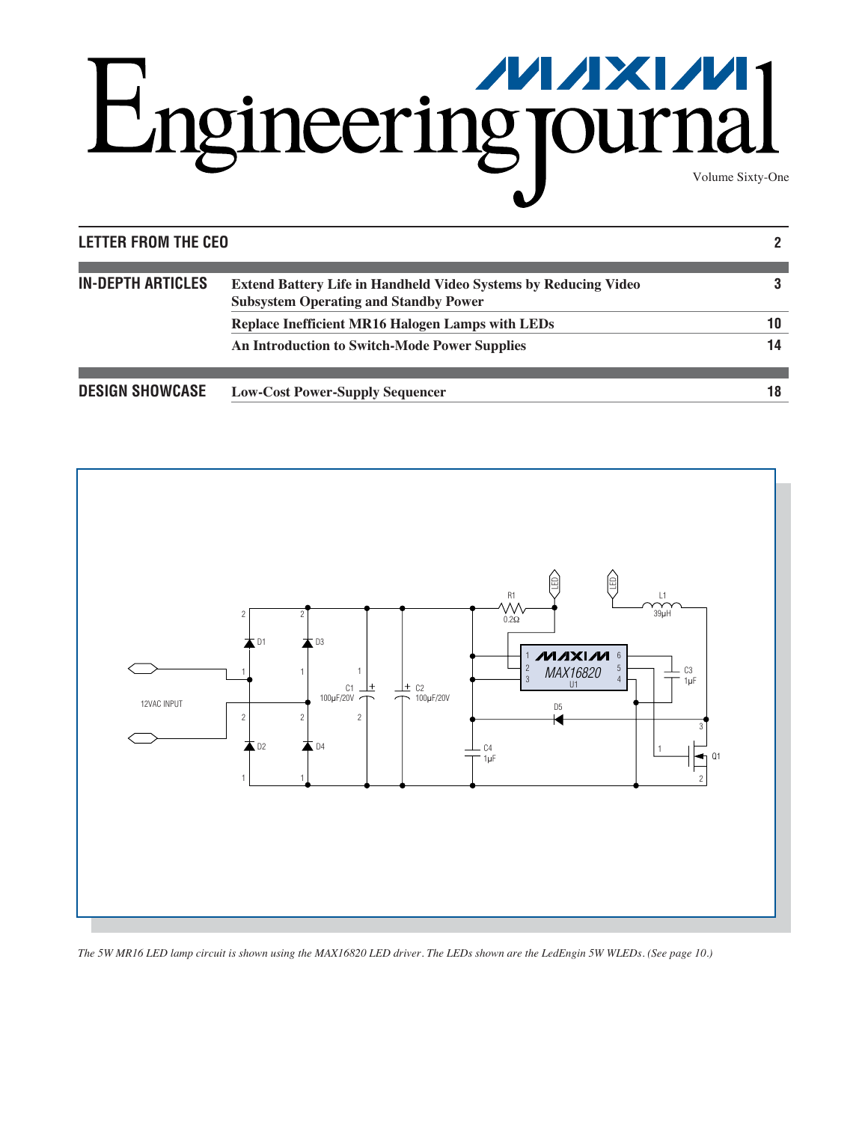# Engineering journal

| <b>LETTER FROM THE CEO</b> |                                                                                                                        |    |
|----------------------------|------------------------------------------------------------------------------------------------------------------------|----|
| <b>IN-DEPTH ARTICLES</b>   | <b>Extend Battery Life in Handheld Video Systems by Reducing Video</b><br><b>Subsystem Operating and Standby Power</b> |    |
|                            | <b>Replace Inefficient MR16 Halogen Lamps with LEDs</b>                                                                | 10 |
|                            | <b>An Introduction to Switch-Mode Power Supplies</b>                                                                   | 14 |
|                            |                                                                                                                        |    |
| <b>DESIGN SHOWCASE</b>     | <b>Low-Cost Power-Supply Sequencer</b>                                                                                 |    |



*The 5W MR16 LED lamp circuit is shown using the MAX16820 LED driver. The LEDs shown are the LedEngin 5W WLEDs. (See page 10.)*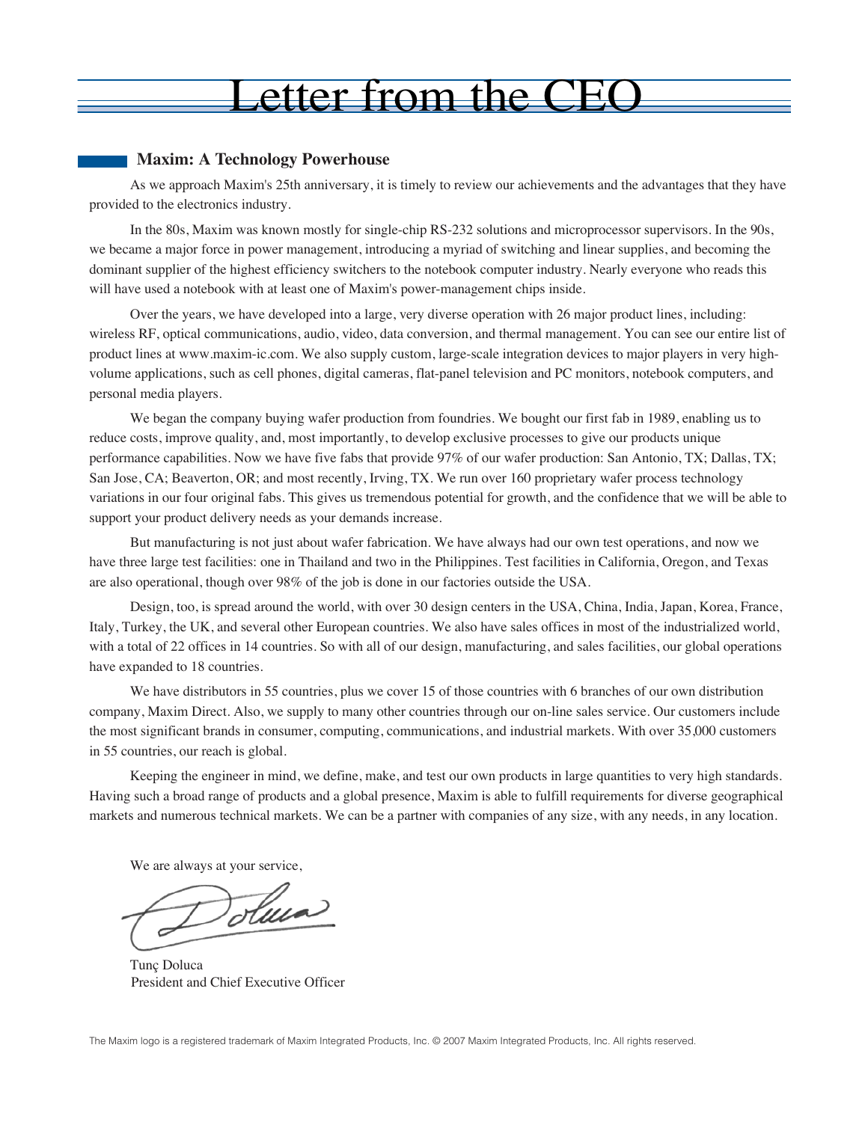# Letter from the CEO

#### **Maxim: A Technology Powerhouse**

As we approach Maxim's 25th anniversary, it is timely to review our achievements and the advantages that they have provided to the electronics industry.

In the 80s, Maxim was known mostly for single-chip RS-232 solutions and microprocessor supervisors. In the 90s, we became a major force in power management, introducing a myriad of switching and linear supplies, and becoming the dominant supplier of the highest efficiency switchers to the notebook computer industry. Nearly everyone who reads this will have used a notebook with at least one of Maxim's power-management chips inside.

Over the years, we have developed into a large, very diverse operation with 26 major product lines, including: wireless RF, optical communications, audio, video, data conversion, and thermal management. You can see our entire list of product lines at www.maxim-ic.com. We also supply custom, large-scale integration devices to major players in very highvolume applications, such as cell phones, digital cameras, flat-panel television and PC monitors, notebook computers, and personal media players.

We began the company buying wafer production from foundries. We bought our first fab in 1989, enabling us to reduce costs, improve quality, and, most importantly, to develop exclusive processes to give our products unique performance capabilities. Now we have five fabs that provide 97% of our wafer production: San Antonio, TX; Dallas, TX; San Jose, CA; Beaverton, OR; and most recently, Irving, TX. We run over 160 proprietary wafer process technology variations in our four original fabs. This gives us tremendous potential for growth, and the confidence that we will be able to support your product delivery needs as your demands increase.

But manufacturing is not just about wafer fabrication. We have always had our own test operations, and now we have three large test facilities: one in Thailand and two in the Philippines. Test facilities in California, Oregon, and Texas are also operational, though over 98% of the job is done in our factories outside the USA.

Design, too, is spread around the world, with over 30 design centers in the USA, China, India, Japan, Korea, France, Italy, Turkey, the UK, and several other European countries. We also have sales offices in most of the industrialized world, with a total of 22 offices in 14 countries. So with all of our design, manufacturing, and sales facilities, our global operations have expanded to 18 countries.

We have distributors in 55 countries, plus we cover 15 of those countries with 6 branches of our own distribution company, Maxim Direct. Also, we supply to many other countries through our on-line sales service. Our customers include the most significant brands in consumer, computing, communications, and industrial markets. With over 35,000 customers in 55 countries, our reach is global.

Keeping the engineer in mind, we define, make, and test our own products in large quantities to very high standards. Having such a broad range of products and a global presence, Maxim is able to fulfill requirements for diverse geographical markets and numerous technical markets. We can be a partner with companies of any size, with any needs, in any location.

We are always at your service,

Toluca

Tunç Doluca President and Chief Executive Officer

The Maxim logo is a registered trademark of Maxim Integrated Products, Inc. © 2007 Maxim Integrated Products, Inc. All rights reserved.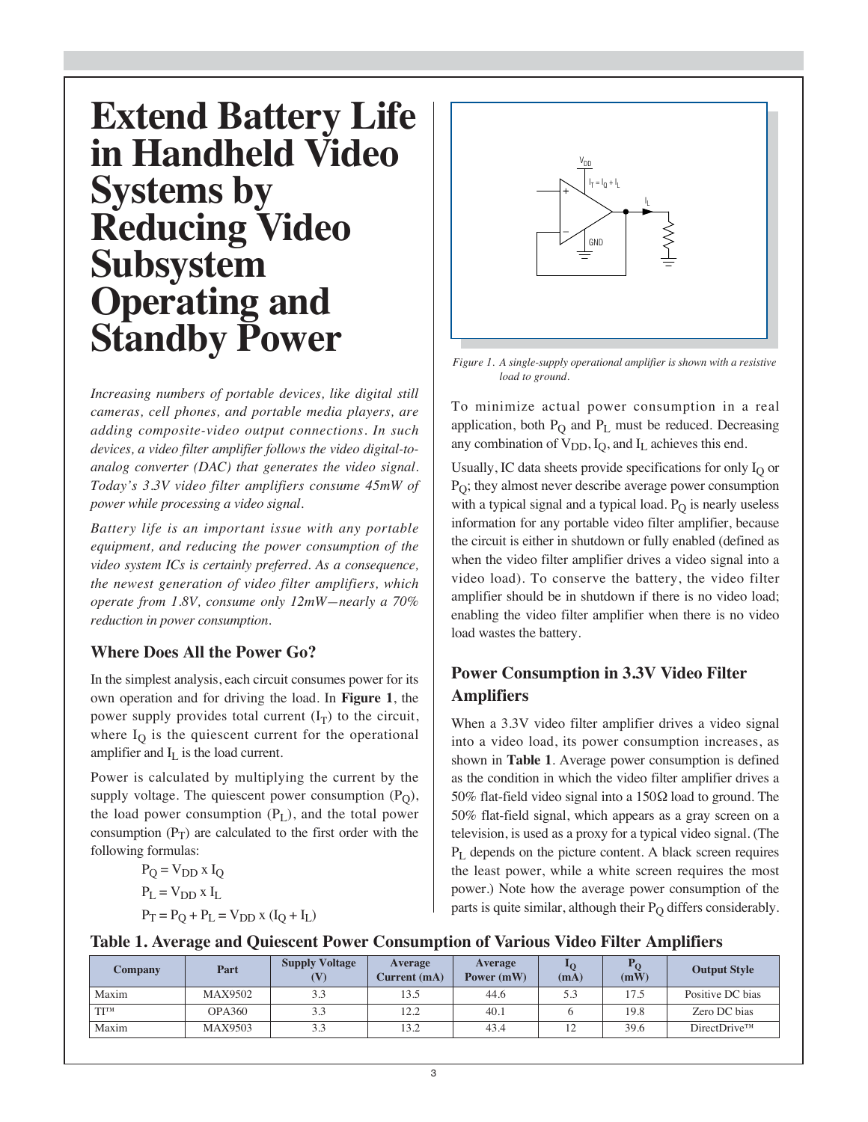# **Extend Battery Life in Handheld Video Systems by Reducing Video Subsystem Operating and Standby Power**

*Increasing numbers of portable devices, like digital still cameras, cell phones, and portable media players, are adding composite-video output connections. In such devices, a video filter amplifier follows the video digital-toanalog converter (DAC) that generates the video signal. Today's 3.3V video filter amplifiers consume 45mW of power while processing a video signal.* 

*Battery life is an important issue with any portable equipment, and reducing the power consumption of the video system ICs is certainly preferred. As a consequence, the newest generation of video filter amplifiers, which operate from 1.8V, consume only 12mW—nearly a 70% reduction in power consumption.*

#### **Where Does All the Power Go?**

In the simplest analysis, each circuit consumes power for its own operation and for driving the load. In **Figure 1**, the power supply provides total current  $(I_T)$  to the circuit, where  $I<sub>O</sub>$  is the quiescent current for the operational amplifier and  $I_L$  is the load current.

Power is calculated by multiplying the current by the supply voltage. The quiescent power consumption  $(P<sub>O</sub>)$ , the load power consumption  $(P<sub>L</sub>)$ , and the total power consumption  $(P_T)$  are calculated to the first order with the following formulas:

$$
P_Q = V_{DD} \times I_Q
$$
  
\n
$$
P_L = V_{DD} \times I_L
$$
  
\n
$$
P_T = P_Q + P_L = V_{DD} \times (I_Q + I_L)
$$



*Figure 1. A single-supply operational amplifier is shown with a resistive load to ground.*

To minimize actual power consumption in a real application, both  $P_Q$  and  $P_L$  must be reduced. Decreasing any combination of  $V_{DD}$ ,  $I_Q$ , and  $I_L$  achieves this end.

Usually, IC data sheets provide specifications for only  $I<sub>O</sub>$  or PQ; they almost never describe average power consumption with a typical signal and a typical load.  $P<sub>O</sub>$  is nearly useless information for any portable video filter amplifier, because the circuit is either in shutdown or fully enabled (defined as when the video filter amplifier drives a video signal into a video load). To conserve the battery, the video filter amplifier should be in shutdown if there is no video load; enabling the video filter amplifier when there is no video load wastes the battery.

# **Power Consumption in 3.3V Video Filter Amplifiers**

When a 3.3V video filter amplifier drives a video signal into a video load, its power consumption increases, as shown in **Table 1**. Average power consumption is defined as the condition in which the video filter amplifier drives a 50% flat-field video signal into a 150Ω load to ground. The 50% flat-field signal, which appears as a gray screen on a television, is used as a proxy for a typical video signal. (The  $P_L$  depends on the picture content. A black screen requires the least power, while a white screen requires the most power.) Note how the average power consumption of the parts is quite similar, although their P<sub>O</sub> differs considerably.

#### **Table 1. Average and Quiescent Power Consumption of Various Video Filter Amplifiers**

| <b>Company</b> | Part           | <b>Supply Voltage</b> | Average<br>Current (mA) | Average<br>Power (mW) | $\mathbf{1}_{\Omega}$<br>(mA) | քօ<br>(mW) | <b>Output Style</b> |
|----------------|----------------|-----------------------|-------------------------|-----------------------|-------------------------------|------------|---------------------|
| Maxim          | <b>MAX9502</b> | 3.3                   | 13.5                    | 44.6                  | 5.3                           | 17.5       | Positive DC bias    |
| $TI^{TM}$      | <b>OPA360</b>  | 3.3                   | 12.2                    | 40.1                  |                               | 19.8       | Zero DC bias        |
| Maxim          | MAX9503        | 3.3                   | 13.2                    | 43.4                  | 12                            | 39.6       | $Direct Drive^{TM}$ |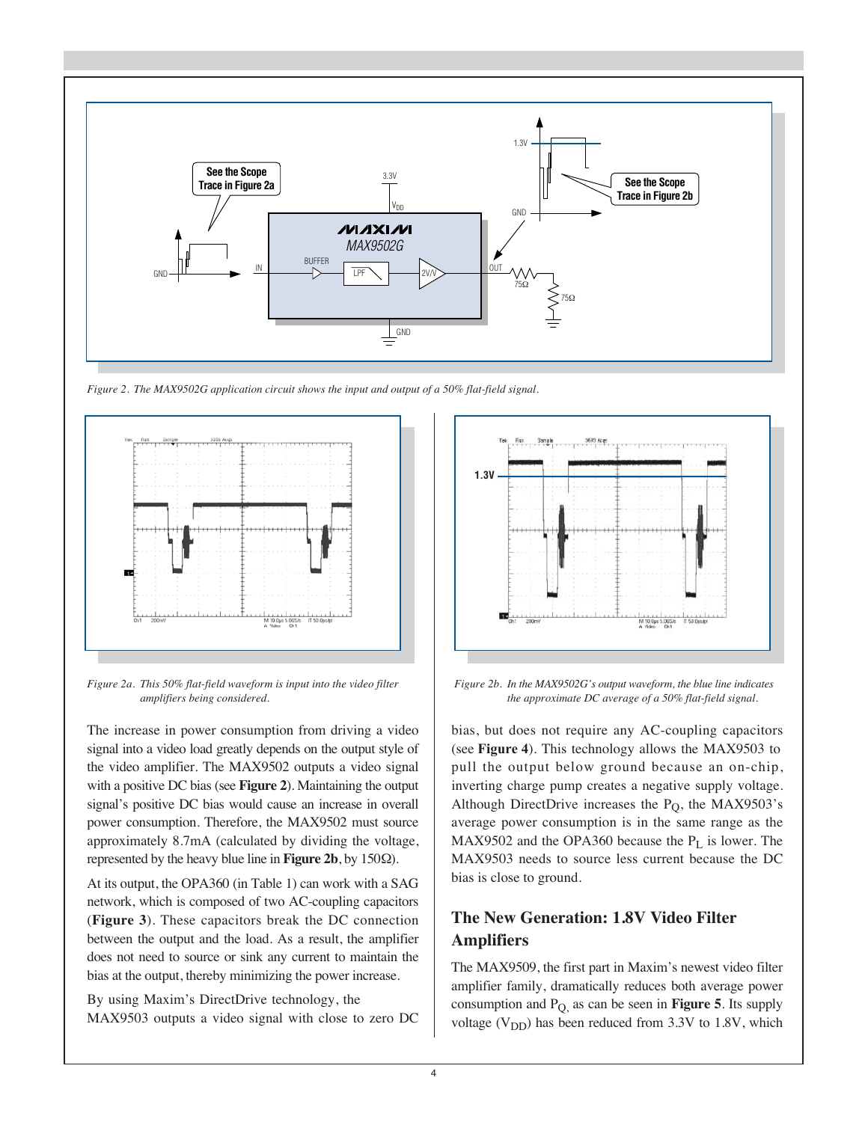

*Figure 2. The MAX9502G application circuit shows the input and output of a 50% flat-field signal.* 



*Figure 2a. This 50% flat-field waveform is input into the video filter amplifiers being considered.* 

The increase in power consumption from driving a video signal into a video load greatly depends on the output style of the video amplifier. The MAX9502 outputs a video signal with a positive DC bias (see **Figure 2**). Maintaining the output signal's positive DC bias would cause an increase in overall power consumption. Therefore, the MAX9502 must source approximately 8.7mA (calculated by dividing the voltage, represented by the heavy blue line in **Figure 2b**, by 150Ω).

At its output, the OPA360 (in Table 1) can work with a SAG network, which is composed of two AC-coupling capacitors (**Figure 3**). These capacitors break the DC connection between the output and the load. As a result, the amplifier does not need to source or sink any current to maintain the bias at the output, thereby minimizing the power increase.

By using Maxim's DirectDrive technology, the MAX9503 outputs a video signal with close to zero DC



*Figure 2b. In the MAX9502G's output waveform, the blue line indicates the approximate DC average of a 50% flat-field signal.* 

bias, but does not require any AC-coupling capacitors (see **Figure 4**). This technology allows the MAX9503 to pull the output below ground because an on-chip, inverting charge pump creates a negative supply voltage. Although DirectDrive increases the  $P<sub>O</sub>$ , the MAX9503's average power consumption is in the same range as the MAX9502 and the OPA360 because the  $P_L$  is lower. The MAX9503 needs to source less current because the DC bias is close to ground.

## **The New Generation: 1.8V Video Filter Amplifiers**

The MAX9509, the first part in Maxim's newest video filter amplifier family, dramatically reduces both average power consumption and PQ, as can be seen in **Figure 5**. Its supply voltage  $(V<sub>DD</sub>)$  has been reduced from 3.3V to 1.8V, which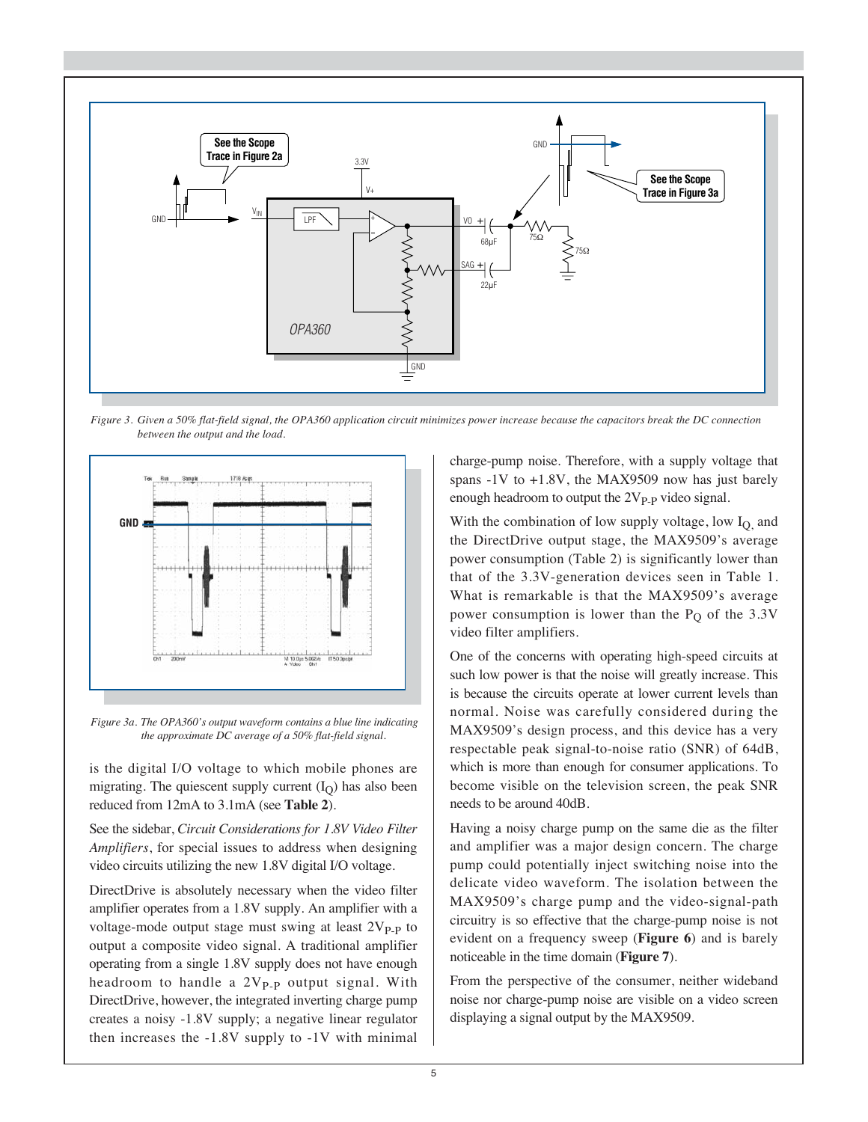

*Figure 3. Given a 50% flat-field signal, the OPA360 application circuit minimizes power increase because the capacitors break the DC connection between the output and the load.*



*Figure 3a. The OPA360's output waveform contains a blue line indicating the approximate DC average of a 50% flat-field signal.*

is the digital I/O voltage to which mobile phones are migrating. The quiescent supply current  $(I<sub>O</sub>)$  has also been reduced from 12mA to 3.1mA (see **Table 2**).

See the sidebar, *Circuit Considerations for 1.8V Video Filter Amplifiers*, for special issues to address when designing video circuits utilizing the new 1.8V digital I/O voltage.

DirectDrive is absolutely necessary when the video filter amplifier operates from a 1.8V supply. An amplifier with a voltage-mode output stage must swing at least  $2V_{P-P}$  to output a composite video signal. A traditional amplifier operating from a single 1.8V supply does not have enough headroom to handle a  $2V_{P-P}$  output signal. With DirectDrive, however, the integrated inverting charge pump creates a noisy -1.8V supply; a negative linear regulator then increases the -1.8V supply to -1V with minimal

charge-pump noise. Therefore, with a supply voltage that spans -1V to +1.8V, the MAX9509 now has just barely enough headroom to output the  $2V_{P-P}$  video signal.

With the combination of low supply voltage, low I<sub>Q</sub>, and the DirectDrive output stage, the MAX9509's average power consumption (Table 2) is significantly lower than that of the 3.3V-generation devices seen in Table 1. What is remarkable is that the MAX9509's average power consumption is lower than the  $P<sub>O</sub>$  of the 3.3V video filter amplifiers.

One of the concerns with operating high-speed circuits at such low power is that the noise will greatly increase. This is because the circuits operate at lower current levels than normal. Noise was carefully considered during the MAX9509's design process, and this device has a very respectable peak signal-to-noise ratio (SNR) of 64dB, which is more than enough for consumer applications. To become visible on the television screen, the peak SNR needs to be around 40dB.

Having a noisy charge pump on the same die as the filter and amplifier was a major design concern. The charge pump could potentially inject switching noise into the delicate video waveform. The isolation between the MAX9509's charge pump and the video-signal-path circuitry is so effective that the charge-pump noise is not evident on a frequency sweep (**Figure 6**) and is barely noticeable in the time domain (**Figure 7**).

From the perspective of the consumer, neither wideband noise nor charge-pump noise are visible on a video screen displaying a signal output by the MAX9509.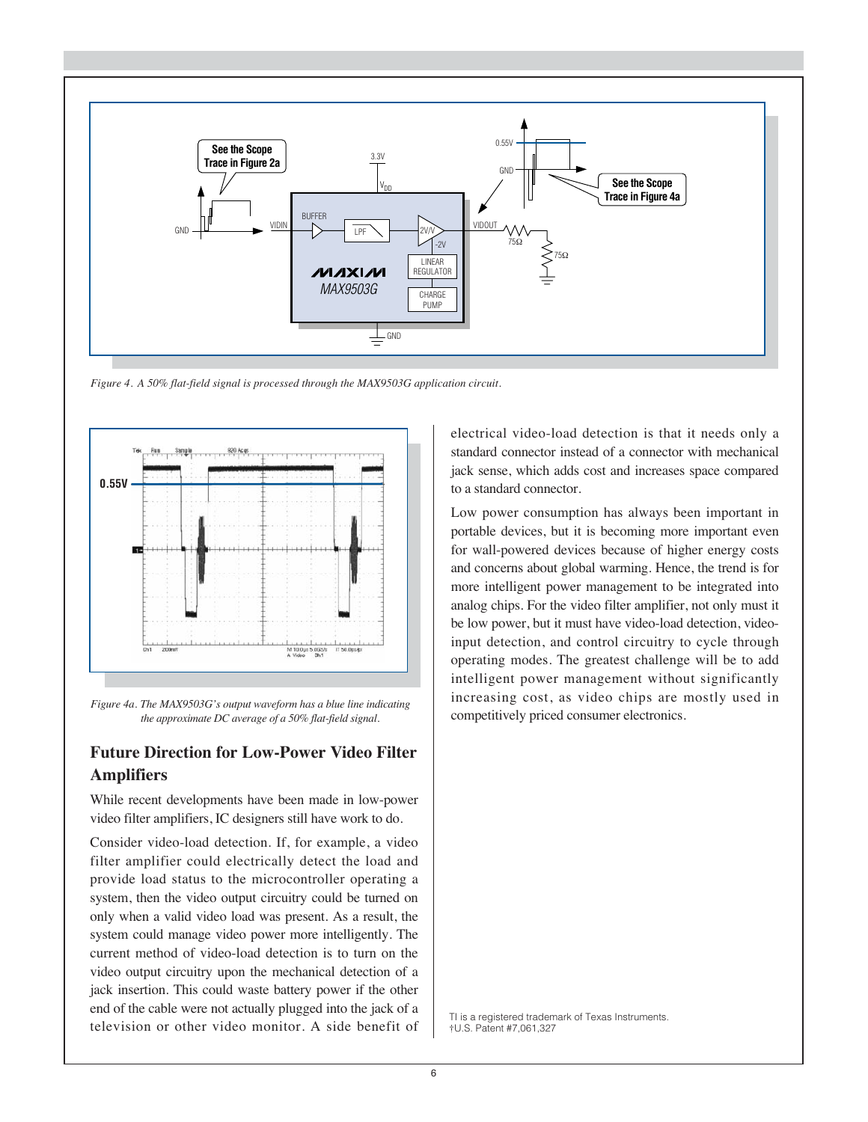

*Figure 4. A 50% flat-field signal is processed through the MAX9503G application circuit.*



*Figure 4a. The MAX9503G's output waveform has a blue line indicating the approximate DC average of a 50% flat-field signal.*

## **Future Direction for Low-Power Video Filter Amplifiers**

While recent developments have been made in low-power video filter amplifiers, IC designers still have work to do.

Consider video-load detection. If, for example, a video filter amplifier could electrically detect the load and provide load status to the microcontroller operating a system, then the video output circuitry could be turned on only when a valid video load was present. As a result, the system could manage video power more intelligently. The current method of video-load detection is to turn on the video output circuitry upon the mechanical detection of a jack insertion. This could waste battery power if the other end of the cable were not actually plugged into the jack of a television or other video monitor. A side benefit of

electrical video-load detection is that it needs only a standard connector instead of a connector with mechanical jack sense, which adds cost and increases space compared to a standard connector.

Low power consumption has always been important in portable devices, but it is becoming more important even for wall-powered devices because of higher energy costs and concerns about global warming. Hence, the trend is for more intelligent power management to be integrated into analog chips. For the video filter amplifier, not only must it be low power, but it must have video-load detection, videoinput detection, and control circuitry to cycle through operating modes. The greatest challenge will be to add intelligent power management without significantly increasing cost, as video chips are mostly used in competitively priced consumer electronics.

TI is a registered trademark of Texas Instruments. †U.S. Patent #7,061,327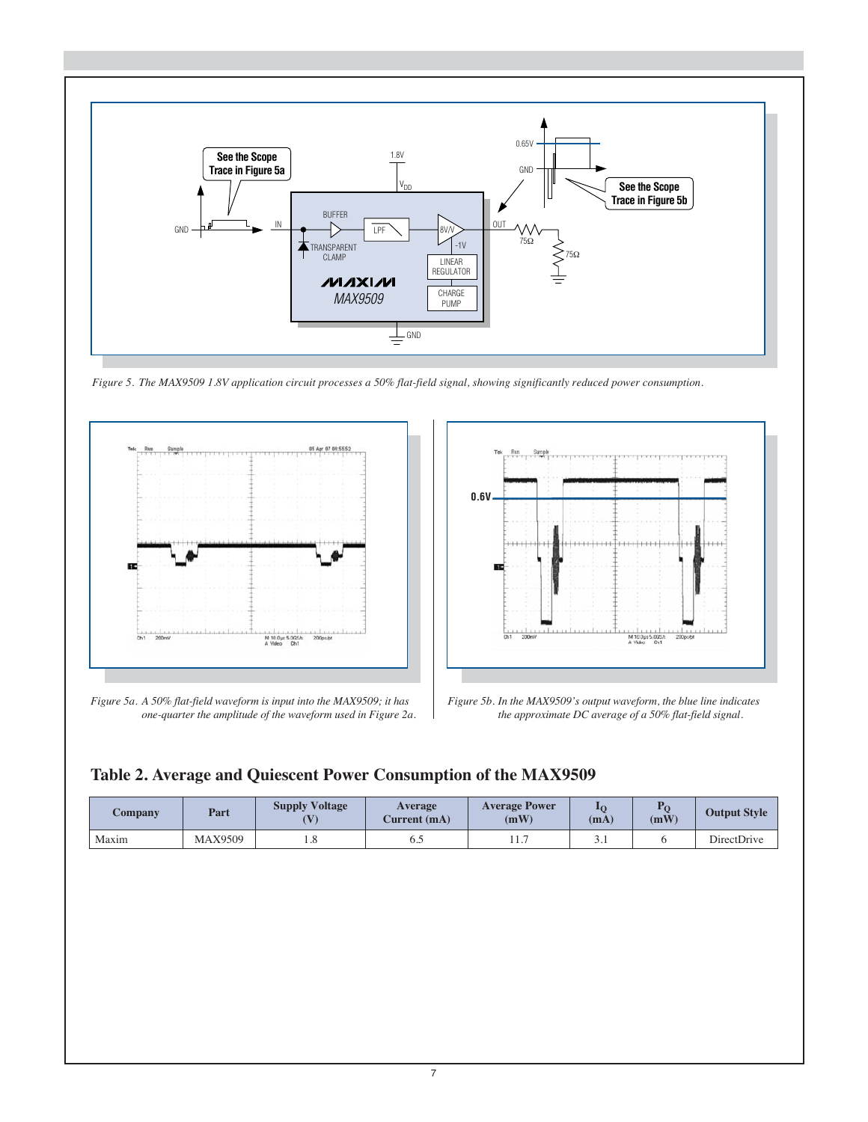

*Figure 5. The MAX9509 1.8V application circuit processes a 50% flat-field signal, showing significantly reduced power consumption.* 



*Figure 5a. A 50% flat-field waveform is input into the MAX9509; it has one-quarter the amplitude of the waveform used in Figure 2a.* 



*Figure 5b. In the MAX9509's output waveform, the blue line indicates the approximate DC average of a 50% flat-field signal.* 

|  | Table 2. Average and Quiescent Power Consumption of the MAX9509 |  |  |  |  |  |
|--|-----------------------------------------------------------------|--|--|--|--|--|
|--|-----------------------------------------------------------------|--|--|--|--|--|

| Company | Part           | <b>Supply Voltage</b> | Average<br>Current (mA) | <b>Average Power</b><br>(mW) | ∩⊥<br>(mA) | (mW) | <b>Output Style</b> |
|---------|----------------|-----------------------|-------------------------|------------------------------|------------|------|---------------------|
| Maxim   | <b>MAX9509</b> | $\circ$<br>1.0        | U.J                     |                              | ه د        |      | DirectDrive         |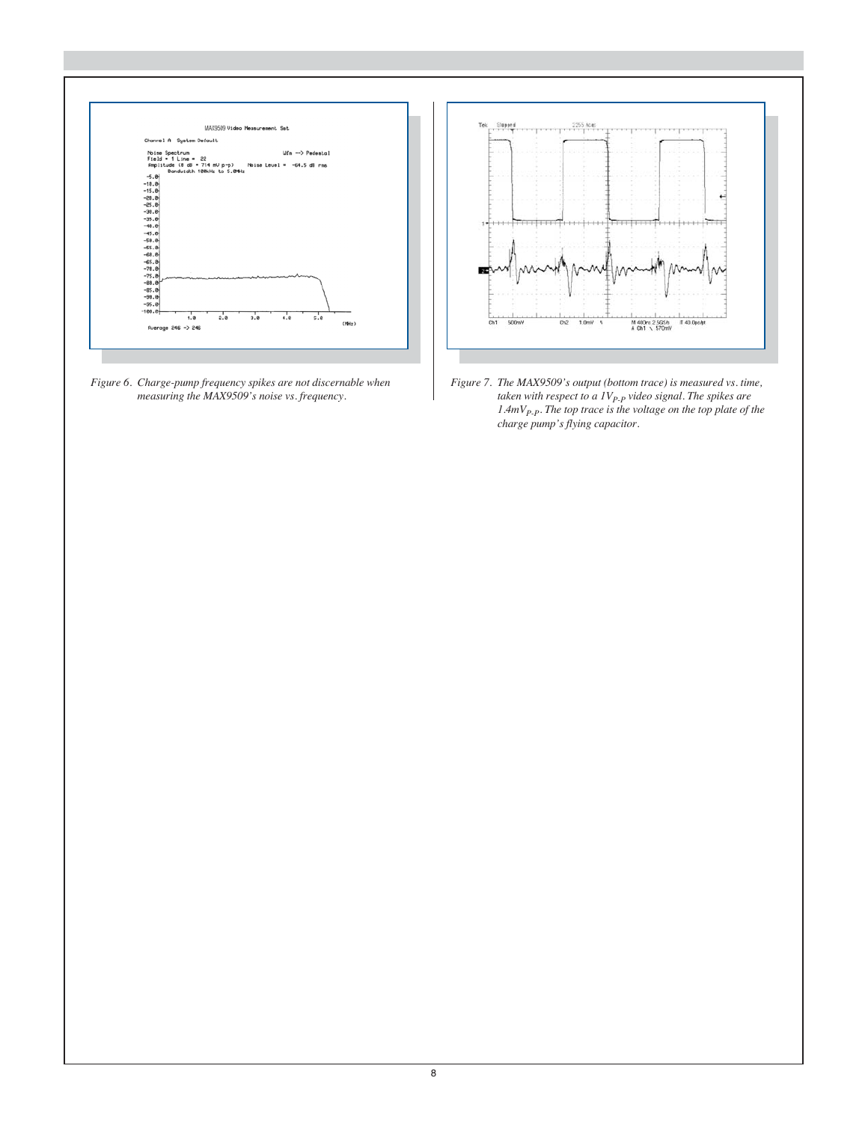

*Figure 6. Charge-pump frequency spikes are not discernable when measuring the MAX9509's noise vs. frequency.*



*Figure 7. The MAX9509's output (bottom trace) is measured vs. time, taken with respect to a 1VP-P video signal. The spikes are 1.4mV<sub>P-P</sub>. The top trace is the voltage on the top plate of the charge pump's flying capacitor.*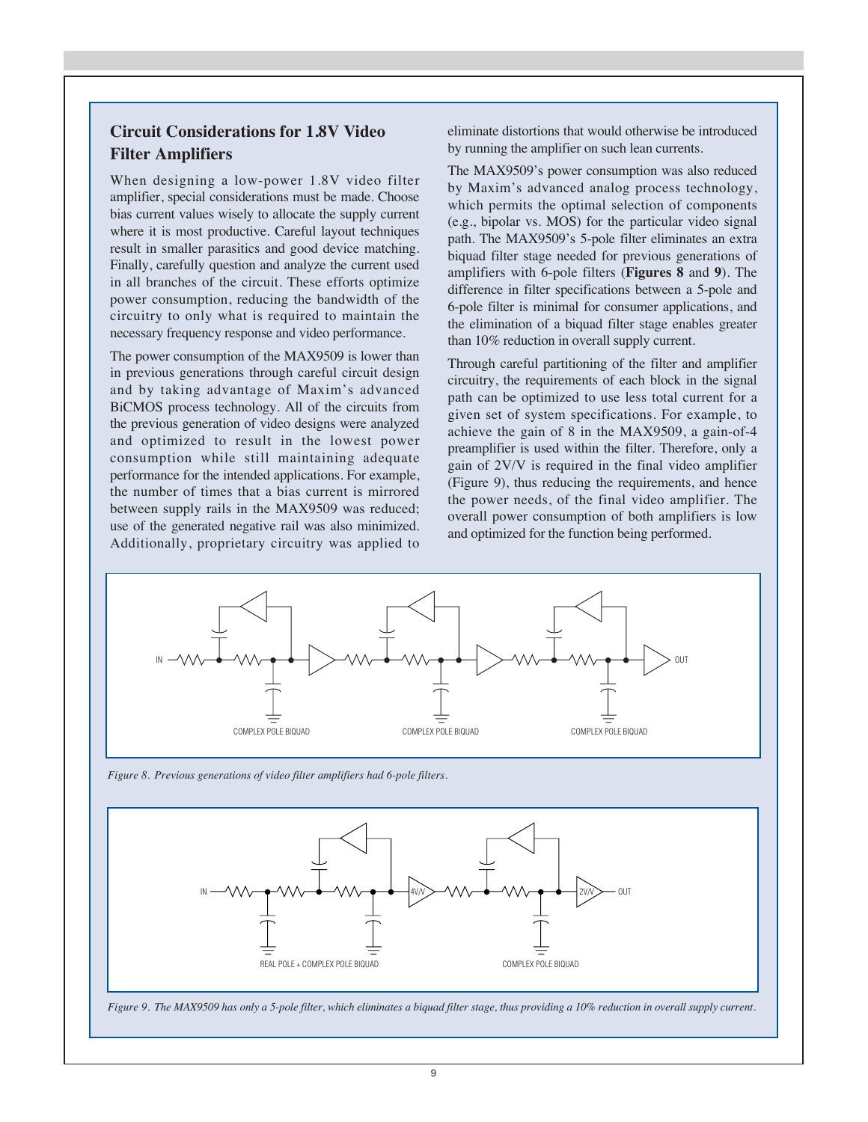# **Circuit Considerations for 1.8V Video Filter Amplifiers**

When designing a low-power 1.8V video filter amplifier, special considerations must be made. Choose bias current values wisely to allocate the supply current where it is most productive. Careful layout techniques result in smaller parasitics and good device matching. Finally, carefully question and analyze the current used in all branches of the circuit. These efforts optimize power consumption, reducing the bandwidth of the circuitry to only what is required to maintain the necessary frequency response and video performance.

The power consumption of the MAX9509 is lower than in previous generations through careful circuit design and by taking advantage of Maxim's advanced BiCMOS process technology. All of the circuits from the previous generation of video designs were analyzed and optimized to result in the lowest power consumption while still maintaining adequate performance for the intended applications. For example, the number of times that a bias current is mirrored between supply rails in the MAX9509 was reduced; use of the generated negative rail was also minimized. Additionally, proprietary circuitry was applied to

eliminate distortions that would otherwise be introduced by running the amplifier on such lean currents.

The MAX9509's power consumption was also reduced by Maxim's advanced analog process technology, which permits the optimal selection of components (e.g., bipolar vs. MOS) for the particular video signal path. The MAX9509's 5-pole filter eliminates an extra biquad filter stage needed for previous generations of amplifiers with 6-pole filters (**Figures 8** and **9**). The difference in filter specifications between a 5-pole and 6-pole filter is minimal for consumer applications, and the elimination of a biquad filter stage enables greater than 10% reduction in overall supply current.

Through careful partitioning of the filter and amplifier circuitry, the requirements of each block in the signal path can be optimized to use less total current for a given set of system specifications. For example, to achieve the gain of 8 in the MAX9509, a gain-of-4 preamplifier is used within the filter. Therefore, only a gain of 2V/V is required in the final video amplifier (Figure 9), thus reducing the requirements, and hence the power needs, of the final video amplifier. The overall power consumption of both amplifiers is low and optimized for the function being performed.



*Figure 8. Previous generations of video filter amplifiers had 6-pole filters.*

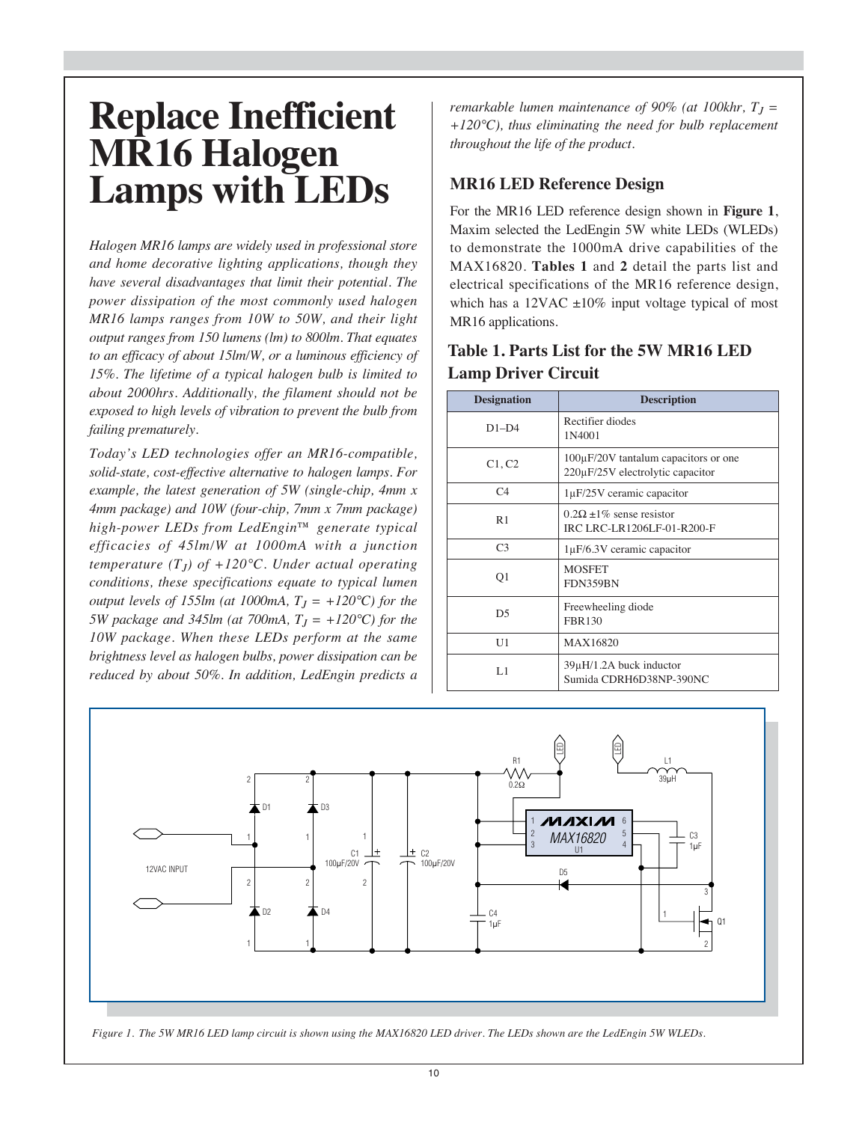# **Replace Inefficient MR16 Halogen Lamps with LEDs**

*Halogen MR16 lamps are widely used in professional store and home decorative lighting applications, though they have several disadvantages that limit their potential. The power dissipation of the most commonly used halogen MR16 lamps ranges from 10W to 50W, and their light output ranges from 150 lumens (lm) to 800lm. That equates to an efficacy of about 15lm/W, or a luminous efficiency of 15%. The lifetime of a typical halogen bulb is limited to about 2000hrs. Additionally, the filament should not be exposed to high levels of vibration to prevent the bulb from failing prematurely.* 

*Today's LED technologies offer an MR16-compatible, solid-state, cost-effective alternative to halogen lamps. For example, the latest generation of 5W (single-chip, 4mm x 4mm package) and 10W (four-chip, 7mm x 7mm package) high-power LEDs from LedEngin™ generate typical efficacies of 45lm/W at 1000mA with a junction temperature*  $(T_I)$  of  $+120$ °C. Under actual operating *conditions, these specifications equate to typical lumen output levels of 155lm (at 1000mA,*  $T_I = +120^{\circ}C$ *) for the 5W package and 345lm (at 700mA,*  $T_J = +120^{\circ}C$ *) for the 10W package. When these LEDs perform at the same brightness level as halogen bulbs, power dissipation can be reduced by about 50%. In addition, LedEngin predicts a*

*remarkable lumen maintenance of 90% (at 100khr,*  $T<sub>J</sub>$  *= +120°C), thus eliminating the need for bulb replacement throughout the life of the product.*

## **MR16 LED Reference Design**

For the MR16 LED reference design shown in **Figure 1**, Maxim selected the LedEngin 5W white LEDs (WLEDs) to demonstrate the 1000mA drive capabilities of the MAX16820. **Tables 1** and **2** detail the parts list and electrical specifications of the MR16 reference design, which has a  $12\text{VAC} \pm 10\%$  input voltage typical of most MR16 applications.

## **Table 1. Parts List for the 5W MR16 LED Lamp Driver Circuit**

| <b>Designation</b> | <b>Description</b>                                                            |
|--------------------|-------------------------------------------------------------------------------|
| $D1-D4$            | Rectifier diodes<br>1N4001                                                    |
| C1, C2             | $100\mu$ F/20V tantalum capacitors or one<br>220µF/25V electrolytic capacitor |
| C <sub>4</sub>     | $1\mu$ F/25V ceramic capacitor                                                |
| R <sub>1</sub>     | $0.2\Omega \pm 1\%$ sense resistor<br>IRC LRC-LR1206LF-01-R200-F              |
| C <sub>3</sub>     | $1\mu$ F/6.3V ceramic capacitor                                               |
| O1                 | <b>MOSFET</b><br>FDN359BN                                                     |
| D5                 | Freewheeling diode<br><b>FBR130</b>                                           |
| U1                 | MAX16820                                                                      |
| L1                 | $39\mu$ H/1.2A buck inductor<br>Sumida CDRH6D38NP-390NC                       |

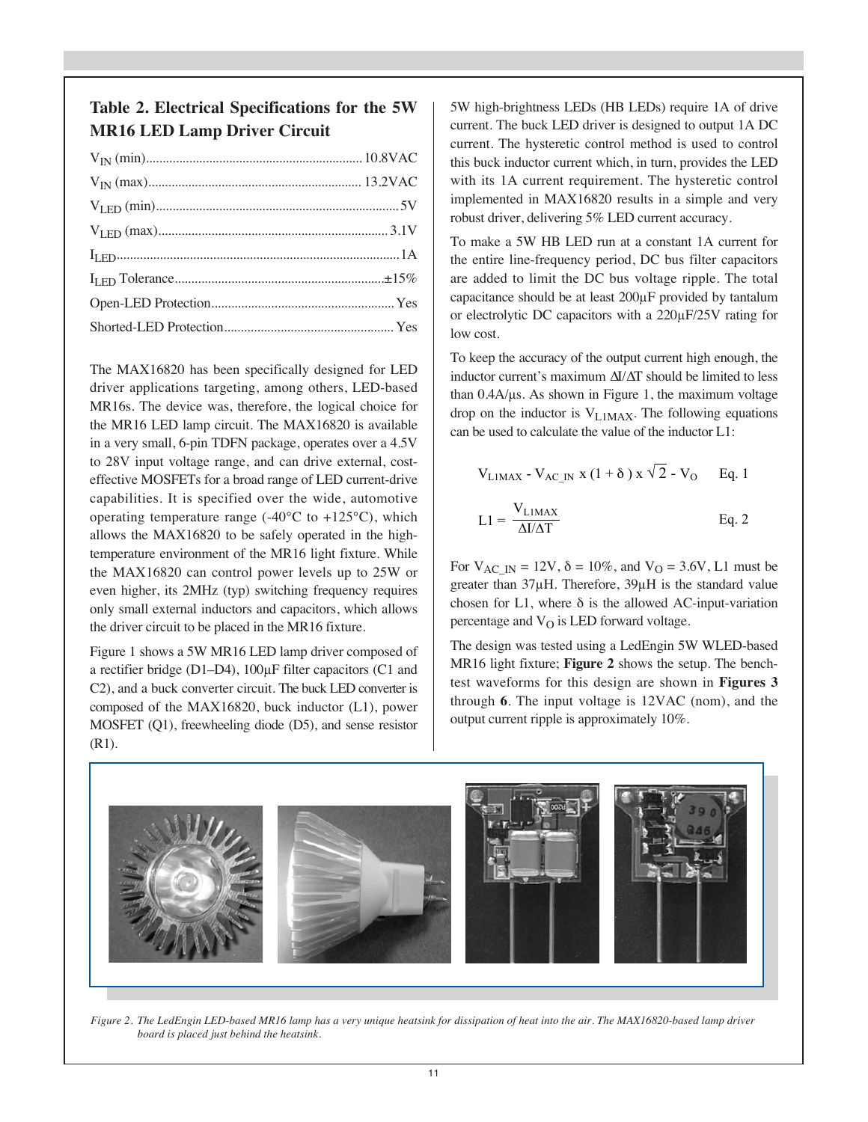## **Table 2. Electrical Specifications for the 5W MR16 LED Lamp Driver Circuit**

The MAX16820 has been specifically designed for LED driver applications targeting, among others, LED-based MR16s. The device was, therefore, the logical choice for the MR16 LED lamp circuit. The MAX16820 is available in a very small, 6-pin TDFN package, operates over a 4.5V to 28V input voltage range, and can drive external, costeffective MOSFETs for a broad range of LED current-drive capabilities. It is specified over the wide, automotive operating temperature range  $(-40^{\circ}C)$  to  $+125^{\circ}C$ ), which allows the MAX16820 to be safely operated in the hightemperature environment of the MR16 light fixture. While the MAX16820 can control power levels up to 25W or even higher, its 2MHz (typ) switching frequency requires only small external inductors and capacitors, which allows the driver circuit to be placed in the MR16 fixture.

Figure 1 shows a 5W MR16 LED lamp driver composed of a rectifier bridge (D1–D4), 100µF filter capacitors (C1 and C2), and a buck converter circuit. The buck LED converter is composed of the MAX16820, buck inductor (L1), power MOSFET (Q1), freewheeling diode (D5), and sense resistor (R1).

5W high-brightness LEDs (HB LEDs) require 1A of drive current. The buck LED driver is designed to output 1A DC current. The hysteretic control method is used to control this buck inductor current which, in turn, provides the LED with its 1A current requirement. The hysteretic control implemented in MAX16820 results in a simple and very robust driver, delivering 5% LED current accuracy.

To make a 5W HB LED run at a constant 1A current for the entire line-frequency period, DC bus filter capacitors are added to limit the DC bus voltage ripple. The total capacitance should be at least 200µF provided by tantalum or electrolytic DC capacitors with a 220µF/25V rating for low cost.

To keep the accuracy of the output current high enough, the inductor current's maximum ∆I/∆T should be limited to less than 0.4A/µs. As shown in Figure 1, the maximum voltage drop on the inductor is  $V_{L1MAX}$ . The following equations can be used to calculate the value of the inductor L1:

$$
V_{LIMAX} - V_{AC\_IN} x (1 + \delta) x \sqrt{2} - V_0 \qquad Eq. 1
$$
  

$$
L1 = \frac{V_{LIMAX}}{\Delta I/\Delta T}
$$
 Eq. 2

For  $V_{AC}$  IN = 12V,  $\delta$  = 10%, and  $V_{O}$  = 3.6V, L1 must be greater than 37µH. Therefore, 39µH is the standard value chosen for L1, where  $\delta$  is the allowed AC-input-variation percentage and  $V<sub>O</sub>$  is LED forward voltage.

The design was tested using a LedEngin 5W WLED-based MR16 light fixture; **Figure 2** shows the setup. The benchtest waveforms for this design are shown in **Figures 3** through **6**. The input voltage is 12VAC (nom), and the output current ripple is approximately 10%.



*Figure 2. The LedEngin LED-based MR16 lamp has a very unique heatsink for dissipation of heat into the air. The MAX16820-based lamp driver board is placed just behind the heatsink.*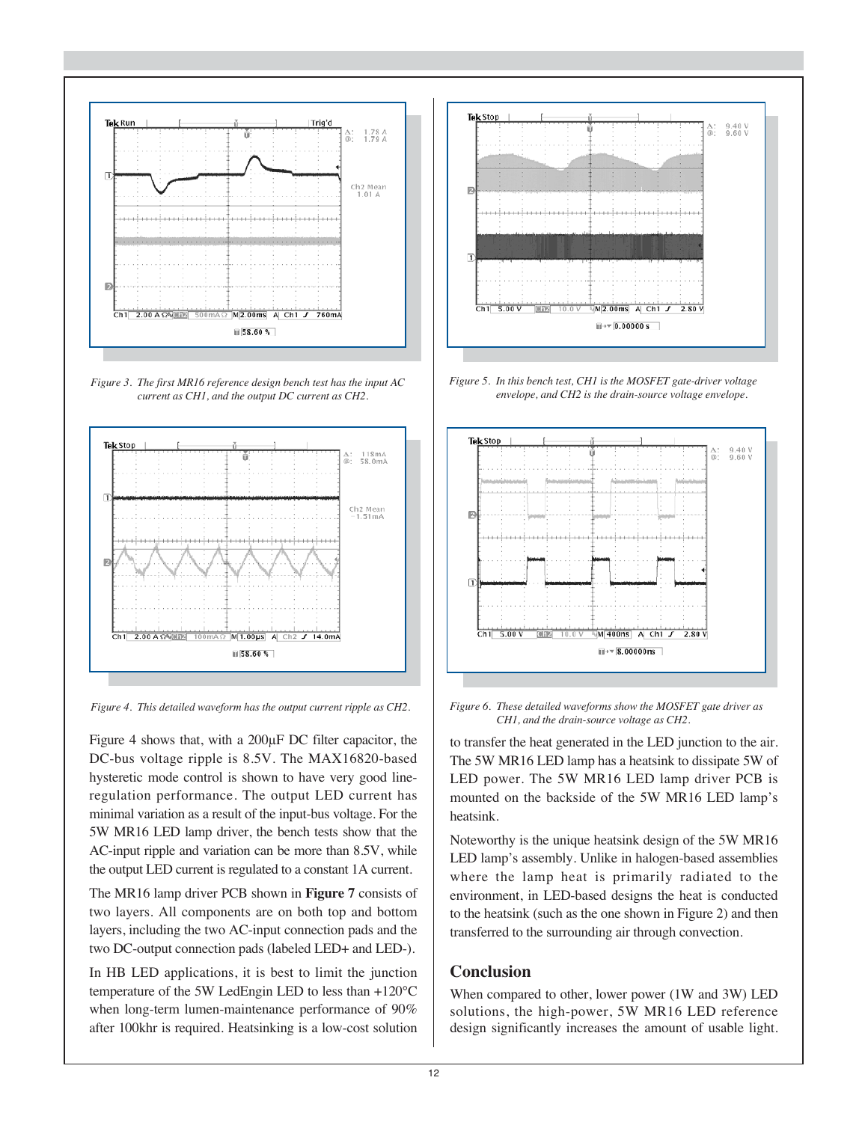

*Figure 3. The first MR16 reference design bench test has the input AC current as CH1, and the output DC current as CH2.*



*Figure 4. This detailed waveform has the output current ripple as CH2.*

Figure 4 shows that, with a 200µF DC filter capacitor, the DC-bus voltage ripple is 8.5V. The MAX16820-based hysteretic mode control is shown to have very good lineregulation performance. The output LED current has minimal variation as a result of the input-bus voltage. For the 5W MR16 LED lamp driver, the bench tests show that the AC-input ripple and variation can be more than 8.5V, while the output LED current is regulated to a constant 1A current.

The MR16 lamp driver PCB shown in **Figure 7** consists of two layers. All components are on both top and bottom layers, including the two AC-input connection pads and the two DC-output connection pads (labeled LED+ and LED-).

In HB LED applications, it is best to limit the junction temperature of the 5W LedEngin LED to less than +120°C when long-term lumen-maintenance performance of 90% after 100khr is required. Heatsinking is a low-cost solution



*Figure 5. In this bench test, CH1 is the MOSFET gate-driver voltage envelope, and CH2 is the drain-source voltage envelope.*



*Figure 6. These detailed waveforms show the MOSFET gate driver as CH1, and the drain-source voltage as CH2.*

to transfer the heat generated in the LED junction to the air. The 5W MR16 LED lamp has a heatsink to dissipate 5W of LED power. The 5W MR16 LED lamp driver PCB is mounted on the backside of the 5W MR16 LED lamp's heatsink.

Noteworthy is the unique heatsink design of the 5W MR16 LED lamp's assembly. Unlike in halogen-based assemblies where the lamp heat is primarily radiated to the environment, in LED-based designs the heat is conducted to the heatsink (such as the one shown in Figure 2) and then transferred to the surrounding air through convection.

#### **Conclusion**

When compared to other, lower power (1W and 3W) LED solutions, the high-power, 5W MR16 LED reference design significantly increases the amount of usable light.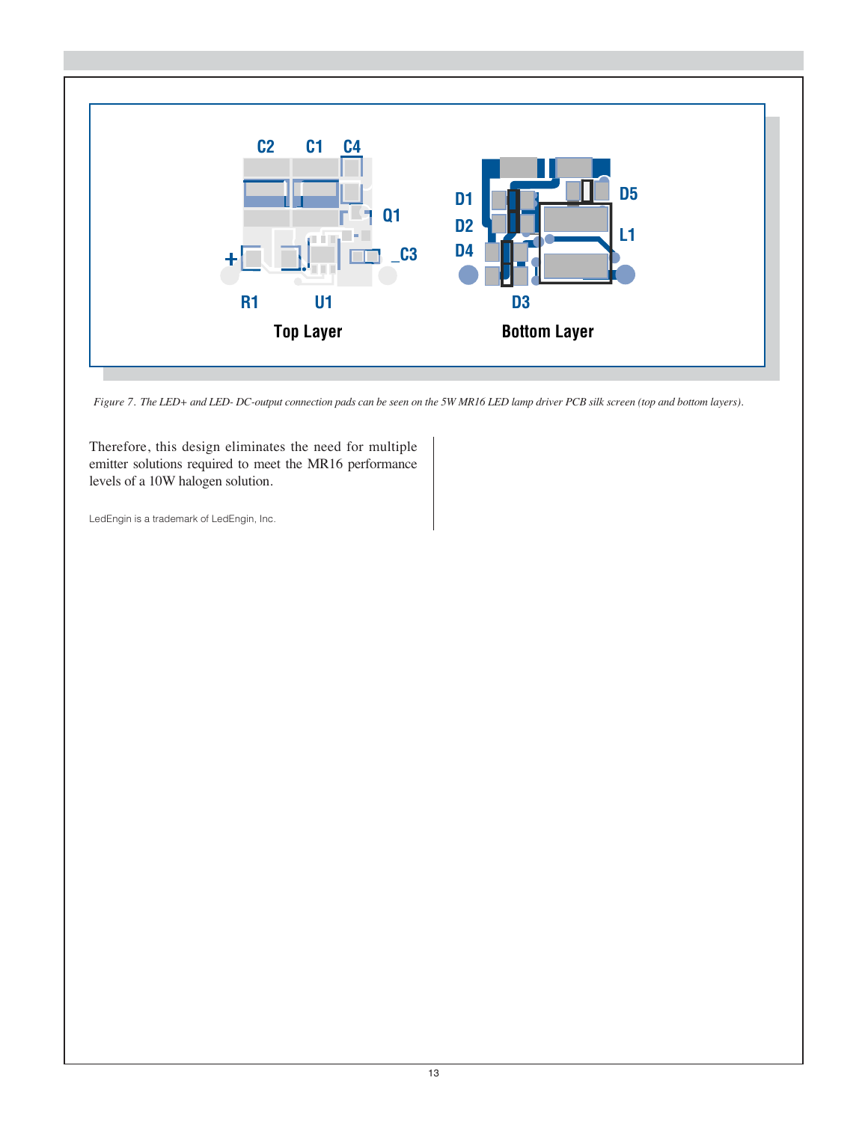

*Figure 7. The LED+ and LED- DC-output connection pads can be seen on the 5W MR16 LED lamp driver PCB silk screen (top and bottom layers).*

Therefore, this design eliminates the need for multiple emitter solutions required to meet the MR16 performance levels of a 10W halogen solution.

LedEngin is a trademark of LedEngin, Inc.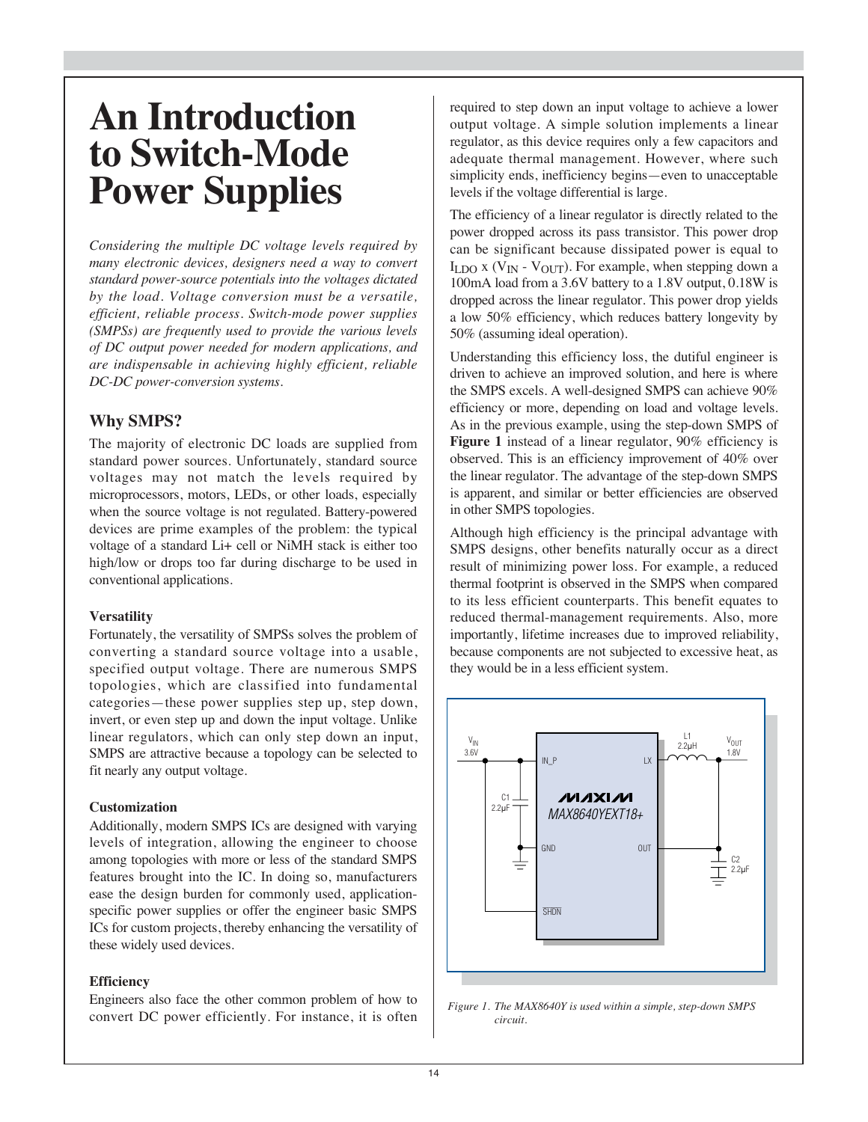# **An Introduction to Switch-Mode Power Supplies**

*Considering the multiple DC voltage levels required by many electronic devices, designers need a way to convert standard power-source potentials into the voltages dictated by the load. Voltage conversion must be a versatile, efficient, reliable process. Switch-mode power supplies (SMPSs) are frequently used to provide the various levels of DC output power needed for modern applications, and are indispensable in achieving highly efficient, reliable DC-DC power-conversion systems.*

### **Why SMPS?**

The majority of electronic DC loads are supplied from standard power sources. Unfortunately, standard source voltages may not match the levels required by microprocessors, motors, LEDs, or other loads, especially when the source voltage is not regulated. Battery-powered devices are prime examples of the problem: the typical voltage of a standard Li+ cell or NiMH stack is either too high/low or drops too far during discharge to be used in conventional applications.

#### **Versatility**

Fortunately, the versatility of SMPSs solves the problem of converting a standard source voltage into a usable, specified output voltage. There are numerous SMPS topologies, which are classified into fundamental categories—these power supplies step up, step down, invert, or even step up and down the input voltage. Unlike linear regulators, which can only step down an input, SMPS are attractive because a topology can be selected to fit nearly any output voltage.

#### **Customization**

Additionally, modern SMPS ICs are designed with varying levels of integration, allowing the engineer to choose among topologies with more or less of the standard SMPS features brought into the IC. In doing so, manufacturers ease the design burden for commonly used, applicationspecific power supplies or offer the engineer basic SMPS ICs for custom projects, thereby enhancing the versatility of these widely used devices.

#### **Efficiency**

Engineers also face the other common problem of how to convert DC power efficiently. For instance, it is often required to step down an input voltage to achieve a lower output voltage. A simple solution implements a linear regulator, as this device requires only a few capacitors and adequate thermal management. However, where such simplicity ends, inefficiency begins—even to unacceptable levels if the voltage differential is large.

The efficiency of a linear regulator is directly related to the power dropped across its pass transistor. This power drop can be significant because dissipated power is equal to  $I_{LDO}$  x ( $V_{IN}$  -  $V_{OUT}$ ). For example, when stepping down a 100mA load from a 3.6V battery to a 1.8V output, 0.18W is dropped across the linear regulator. This power drop yields a low 50% efficiency, which reduces battery longevity by 50% (assuming ideal operation).

Understanding this efficiency loss, the dutiful engineer is driven to achieve an improved solution, and here is where the SMPS excels. A well-designed SMPS can achieve 90% efficiency or more, depending on load and voltage levels. As in the previous example, using the step-down SMPS of Figure 1 instead of a linear regulator, 90% efficiency is observed. This is an efficiency improvement of 40% over the linear regulator. The advantage of the step-down SMPS is apparent, and similar or better efficiencies are observed in other SMPS topologies.

Although high efficiency is the principal advantage with SMPS designs, other benefits naturally occur as a direct result of minimizing power loss. For example, a reduced thermal footprint is observed in the SMPS when compared to its less efficient counterparts. This benefit equates to reduced thermal-management requirements. Also, more importantly, lifetime increases due to improved reliability, because components are not subjected to excessive heat, as they would be in a less efficient system.



*Figure 1. The MAX8640Y is used within a simple, step-down SMPS circuit.*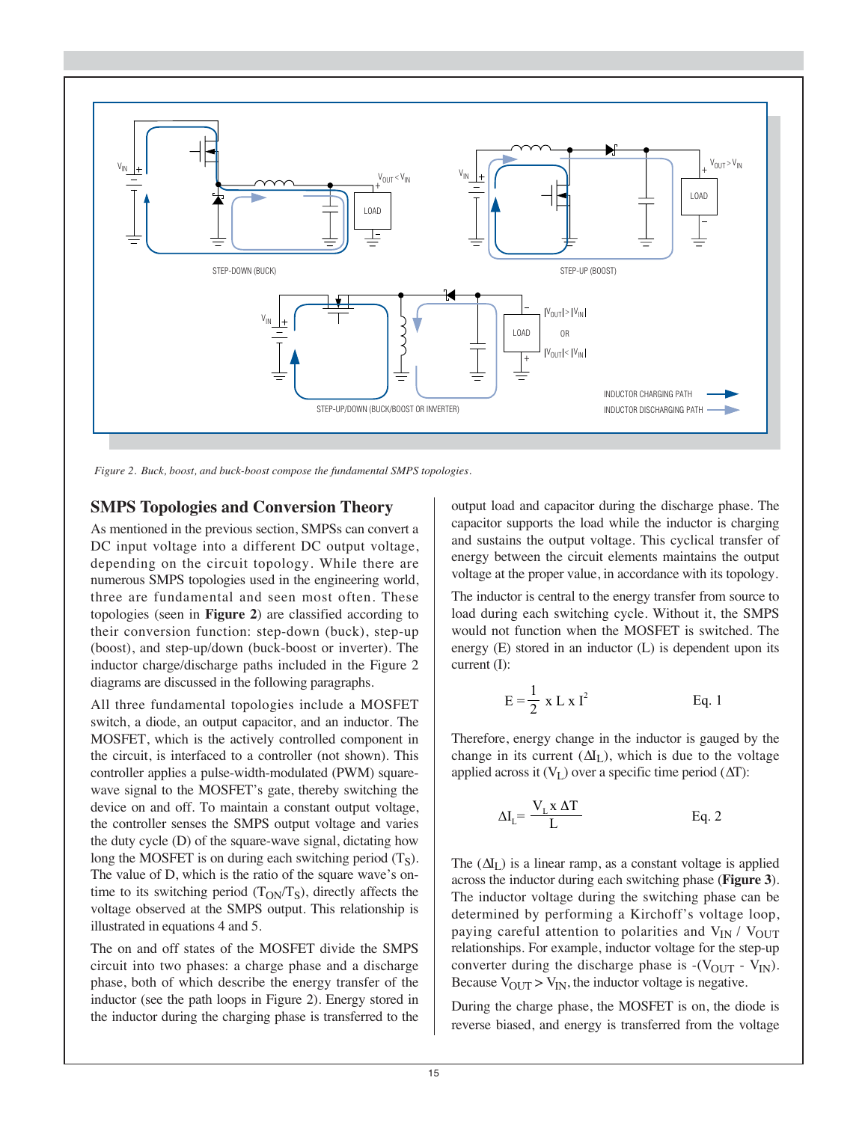

*Figure 2. Buck, boost, and buck-boost compose the fundamental SMPS topologies.* 

### **SMPS Topologies and Conversion Theory**

As mentioned in the previous section, SMPSs can convert a DC input voltage into a different DC output voltage, depending on the circuit topology. While there are numerous SMPS topologies used in the engineering world, three are fundamental and seen most often. These topologies (seen in **Figure 2**) are classified according to their conversion function: step-down (buck), step-up (boost), and step-up/down (buck-boost or inverter). The inductor charge/discharge paths included in the Figure 2 diagrams are discussed in the following paragraphs.

All three fundamental topologies include a MOSFET switch, a diode, an output capacitor, and an inductor. The MOSFET, which is the actively controlled component in the circuit, is interfaced to a controller (not shown). This controller applies a pulse-width-modulated (PWM) squarewave signal to the MOSFET's gate, thereby switching the device on and off. To maintain a constant output voltage, the controller senses the SMPS output voltage and varies the duty cycle (D) of the square-wave signal, dictating how long the MOSFET is on during each switching period  $(T<sub>S</sub>)$ . The value of D, which is the ratio of the square wave's ontime to its switching period  $(T<sub>ON</sub>/T<sub>S</sub>)$ , directly affects the voltage observed at the SMPS output. This relationship is illustrated in equations 4 and 5.

The on and off states of the MOSFET divide the SMPS circuit into two phases: a charge phase and a discharge phase, both of which describe the energy transfer of the inductor (see the path loops in Figure 2). Energy stored in the inductor during the charging phase is transferred to the

output load and capacitor during the discharge phase. The capacitor supports the load while the inductor is charging and sustains the output voltage. This cyclical transfer of energy between the circuit elements maintains the output voltage at the proper value, in accordance with its topology.

The inductor is central to the energy transfer from source to load during each switching cycle. Without it, the SMPS would not function when the MOSFET is switched. The energy (E) stored in an inductor (L) is dependent upon its current (I):

$$
E = \frac{1}{2} x L x I^2
$$
 Eq. 1

Therefore, energy change in the inductor is gauged by the change in its current  $(\Delta I_L)$ , which is due to the voltage applied across it  $(V<sub>L</sub>)$  over a specific time period ( $\Delta T$ ):

$$
\Delta I_{L} = \frac{V_{L} \times \Delta T}{L}
$$
 Eq. 2

The  $(\Delta I_{I})$  is a linear ramp, as a constant voltage is applied across the inductor during each switching phase (**Figure 3**). The inductor voltage during the switching phase can be determined by performing a Kirchoff's voltage loop, paying careful attention to polarities and  $V_{IN}$  /  $V_{OUT}$ relationships. For example, inductor voltage for the step-up converter during the discharge phase is  $-(V_{\text{OUT}} - V_{\text{IN}})$ . Because  $V_{\text{OUT}} > V_{\text{IN}}$ , the inductor voltage is negative.

During the charge phase, the MOSFET is on, the diode is reverse biased, and energy is transferred from the voltage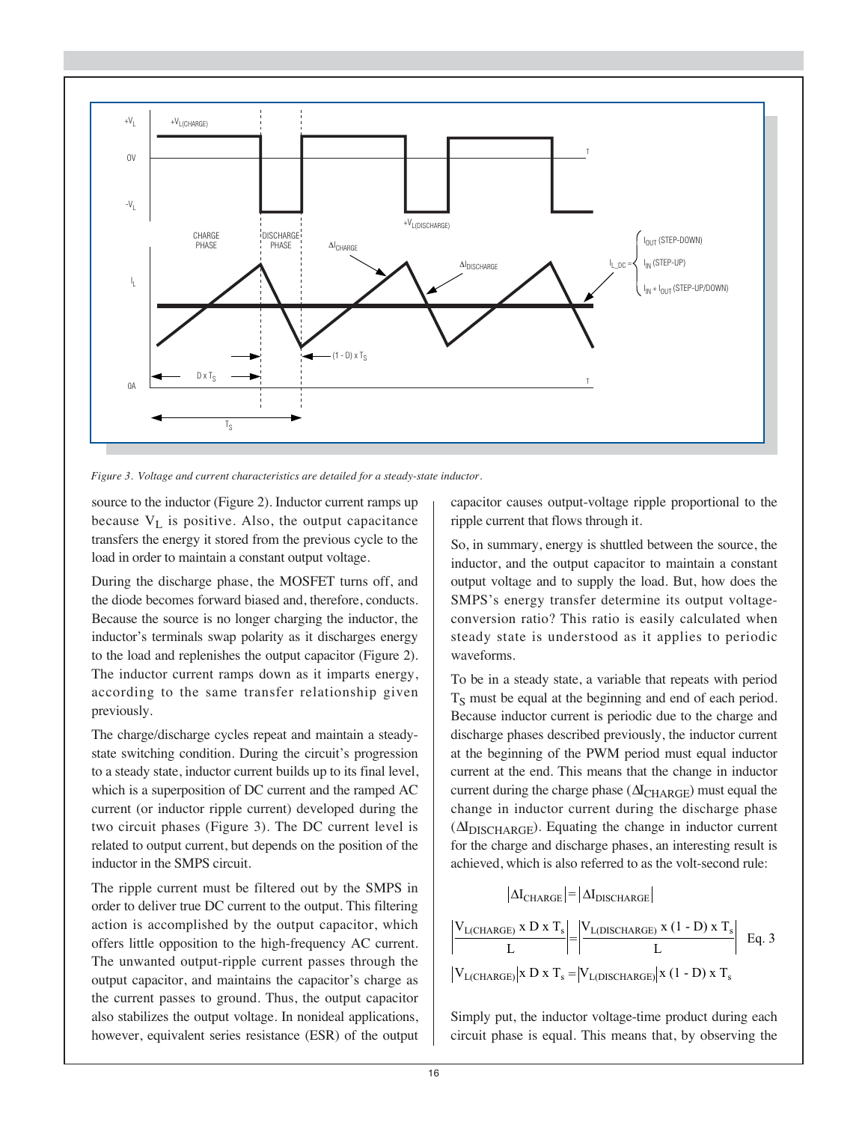

*Figure 3. Voltage and current characteristics are detailed for a steady-state inductor.* 

source to the inductor (Figure 2). Inductor current ramps up because  $V<sub>L</sub>$  is positive. Also, the output capacitance transfers the energy it stored from the previous cycle to the load in order to maintain a constant output voltage.

During the discharge phase, the MOSFET turns off, and the diode becomes forward biased and, therefore, conducts. Because the source is no longer charging the inductor, the inductor's terminals swap polarity as it discharges energy to the load and replenishes the output capacitor (Figure 2). The inductor current ramps down as it imparts energy, according to the same transfer relationship given previously.

The charge/discharge cycles repeat and maintain a steadystate switching condition. During the circuit's progression to a steady state, inductor current builds up to its final level, which is a superposition of DC current and the ramped AC current (or inductor ripple current) developed during the two circuit phases (Figure 3). The DC current level is related to output current, but depends on the position of the inductor in the SMPS circuit.

The ripple current must be filtered out by the SMPS in order to deliver true DC current to the output. This filtering action is accomplished by the output capacitor, which offers little opposition to the high-frequency AC current. The unwanted output-ripple current passes through the output capacitor, and maintains the capacitor's charge as the current passes to ground. Thus, the output capacitor also stabilizes the output voltage. In nonideal applications, however, equivalent series resistance (ESR) of the output capacitor causes output-voltage ripple proportional to the ripple current that flows through it.

So, in summary, energy is shuttled between the source, the inductor, and the output capacitor to maintain a constant output voltage and to supply the load. But, how does the SMPS's energy transfer determine its output voltageconversion ratio? This ratio is easily calculated when steady state is understood as it applies to periodic waveforms.

To be in a steady state, a variable that repeats with period T<sub>S</sub> must be equal at the beginning and end of each period. Because inductor current is periodic due to the charge and discharge phases described previously, the inductor current at the beginning of the PWM period must equal inductor current at the end. This means that the change in inductor current during the charge phase ( $ΔI<sub>CHARGE</sub>$ ) must equal the change in inductor current during the discharge phase  $(\Delta I_{DISCHARGE})$ . Equating the change in inductor current for the charge and discharge phases, an interesting result is achieved, which is also referred to as the volt-second rule:

 $|\Delta I_{CHARGE}| = |\Delta I_{DISCHARGE}|$ 

$$
\left| \frac{V_{L(CHARGE)} \times D \times T_s}{L} \right| = \left| \frac{V_{L(DISCHARGE)} \times (1 - D) \times T_s}{L} \right| \quad Eq. 3
$$
  
\n
$$
\left| V_{L(CHARGE)} \right| \times D \times T_s = \left| V_{L(DISCHARGE)} \right| \times (1 - D) \times T_s
$$

Simply put, the inductor voltage-time product during each circuit phase is equal. This means that, by observing the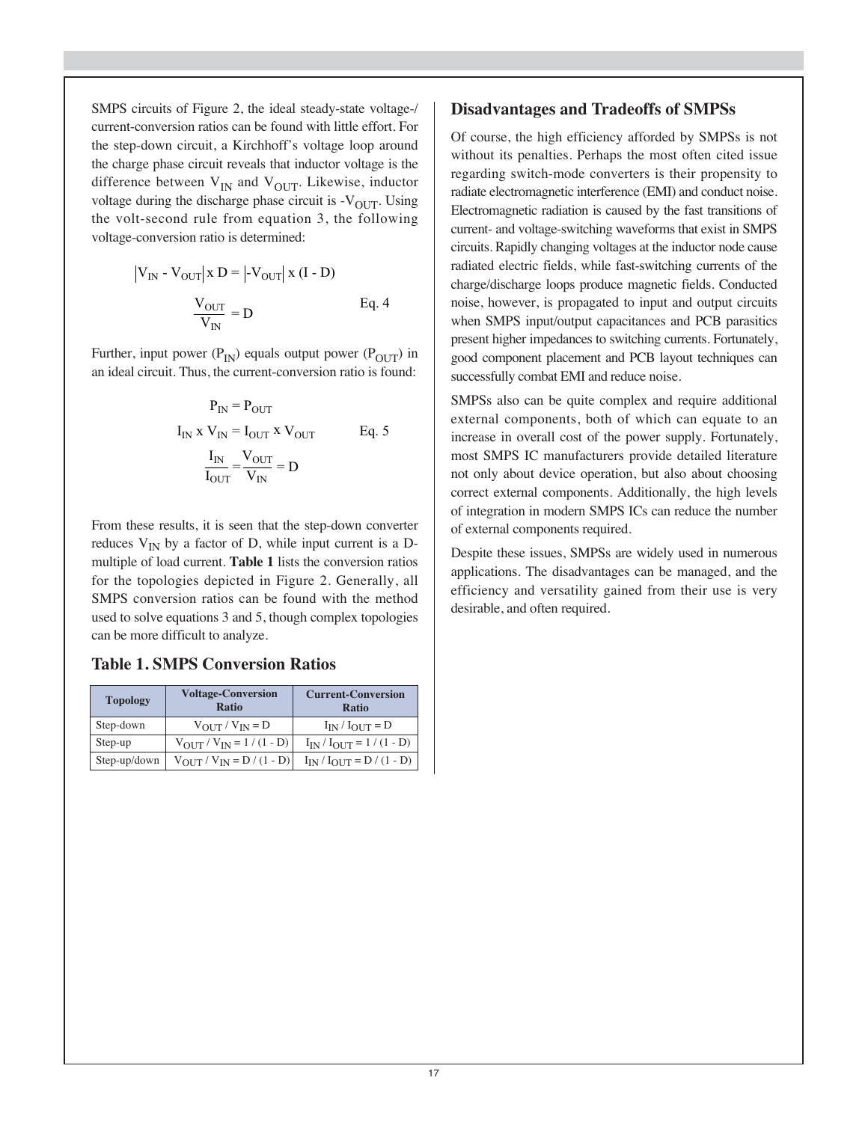SMPS circuits of Figure 2, the ideal steady-state voltage-/ current-conversion ratios can be found with little effort. For the step-down circuit, a Kirchhoff's voltage loop around the charge phase circuit reveals that inductor voltage is the difference between  $V_{IN}$  and  $V_{OUT}$ . Likewise, inductor voltage during the discharge phase circuit is  $-V_{\text{OUT}}$ . Using the volt-second rule from equation 3, the following voltage-conversion ratio is determined:

$$
|V_{IN} - V_{OUT}| \times D = |-V_{OUT}| \times (I - D)
$$
  

$$
\frac{V_{OUT}}{V_{IN}} = D
$$
 Eq. 4

Further, input power  $(P_{IN})$  equals output power  $(P_{OUT})$  in an ideal circuit. Thus, the current-conversion ratio is found:

$$
P_{IN} = P_{OUT}
$$
  
\n
$$
I_{IN} \times V_{IN} = I_{OUT} \times V_{OUT}
$$
 Eq. 5  
\n
$$
\frac{I_{IN}}{I_{OUT}} = \frac{V_{OUT}}{V_{IN}} = D
$$

From these results, it is seen that the step-down converter reduces  $V_{IN}$  by a factor of D, while input current is a Dmultiple of load current. **Table 1** lists the conversion ratios for the topologies depicted in Figure 2. Generally, all SMPS conversion ratios can be found with the method used to solve equations 3 and 5, though complex topologies can be more difficult to analyze.

**Table 1. SMPS Conversion Ratios**

| <b>Topology</b> | <b>Voltage-Conversion</b><br><b>Ratio</b>      | <b>Current-Conversion</b><br><b>Ratio</b> |
|-----------------|------------------------------------------------|-------------------------------------------|
| Step-down       | $V_{\text{OUT}}/V_{\text{IN}} = D$             | $I_{IN}$ / $I_{OUIT} = D$                 |
| Step-up         | $V_{\text{OUT}}/V_{\text{IN}} = 1/(1 - D)$     | $I_{IN} / I_{OUIT} = 1 / (1 - D)$         |
| Step-up/down    | $V_{\text{OUT}} / V_{\text{IN}} = D / (1 - D)$ | $I_{IN}$ / $I_{OUT}$ = D / (1 - D)        |

## **Disadvantages and Tradeoffs of SMPSs**

Of course, the high efficiency afforded by SMPSs is not without its penalties. Perhaps the most often cited issue regarding switch-mode converters is their propensity to radiate electromagnetic interference (EMI) and conduct noise. Electromagnetic radiation is caused by the fast transitions of current- and voltage-switching waveforms that exist in SMPS circuits. Rapidly changing voltages at the inductor node cause radiated electric fields, while fast-switching currents of the charge/discharge loops produce magnetic fields. Conducted noise, however, is propagated to input and output circuits when SMPS input/output capacitances and PCB parasitics present higher impedances to switching currents. Fortunately, good component placement and PCB layout techniques can successfully combat EMI and reduce noise.

SMPSs also can be quite complex and require additional external components, both of which can equate to an increase in overall cost of the power supply. Fortunately, most SMPS IC manufacturers provide detailed literature not only about device operation, but also about choosing correct external components. Additionally, the high levels of integration in modern SMPS ICs can reduce the number of external components required.

Despite these issues, SMPSs are widely used in numerous applications. The disadvantages can be managed, and the efficiency and versatility gained from their use is very desirable, and often required.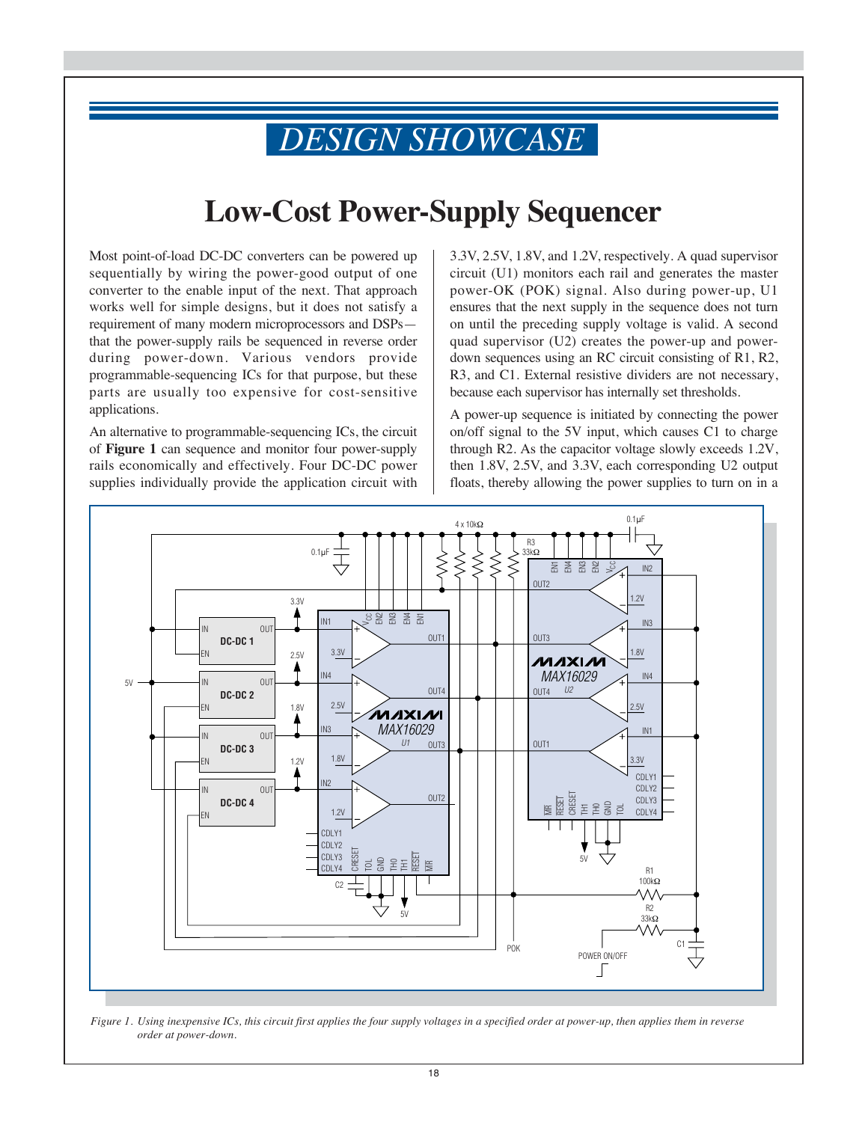# *DESIGN SHOWCASE*

# **Low-Cost Power-Supply Sequencer**

Most point-of-load DC-DC converters can be powered up sequentially by wiring the power-good output of one converter to the enable input of the next. That approach works well for simple designs, but it does not satisfy a requirement of many modern microprocessors and DSPs that the power-supply rails be sequenced in reverse order during power-down. Various vendors provide programmable-sequencing ICs for that purpose, but these parts are usually too expensive for cost-sensitive applications.

An alternative to programmable-sequencing ICs, the circuit of **Figure 1** can sequence and monitor four power-supply rails economically and effectively. Four DC-DC power supplies individually provide the application circuit with 3.3V, 2.5V, 1.8V, and 1.2V, respectively. A quad supervisor circuit (U1) monitors each rail and generates the master power-OK (POK) signal. Also during power-up, U1 ensures that the next supply in the sequence does not turn on until the preceding supply voltage is valid. A second quad supervisor (U2) creates the power-up and powerdown sequences using an RC circuit consisting of R1, R2, R3, and C1. External resistive dividers are not necessary, because each supervisor has internally set thresholds.

A power-up sequence is initiated by connecting the power on/off signal to the 5V input, which causes C1 to charge through R2. As the capacitor voltage slowly exceeds 1.2V, then 1.8V, 2.5V, and 3.3V, each corresponding U2 output floats, thereby allowing the power supplies to turn on in a



*Figure 1. Using inexpensive ICs, this circuit first applies the four supply voltages in a specified order at power-up, then applies them in reverse order at power-down.*